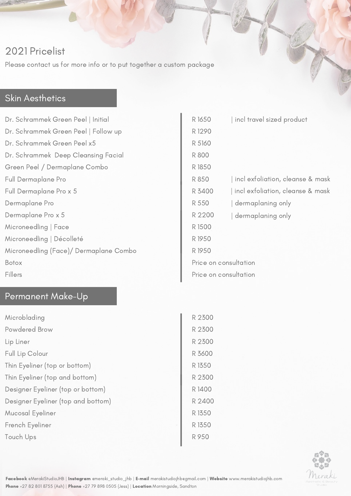# 2021 Pricelist

Please contact us for more info or to put together a custom package

#### Skin Aesthetics

Dr. Schrammek Green Peel | Initial Dr. Schrammek Green Peel | Follow up Dr. Schrammek Green Peel x5 Dr. Schrammek Deep Cleansing Facial Green Peel / Dermaplane Combo Full Dermaplane Pro Full Dermaplane Pro x 5 Dermaplane Pro Dermaplane Pro x 5 Microneedling | Face Microneedling | Décolleté Microneedling (Face)/ Dermaplane Combo Botox Fillers

### Permanent Make-Up

| Microblading                       | R 2300 |
|------------------------------------|--------|
| Powdered Brow                      | R 2300 |
| Lip Liner                          | R 2300 |
| Full Lip Colour                    | R 3600 |
| Thin Eyeliner (top or bottom)      | R 1350 |
| Thin Eyeliner (top and bottom)     | R 2300 |
| Designer Eyeliner (top or bottom)  | R 1400 |
| Designer Eyeliner (top and bottom) | R 2400 |
| Mucosal Eyeliner                   | R 1350 |
| French Eyeliner                    | R 1350 |
| Touch Ups                          | R 950  |

| R 1650                | incl travel sized product        |
|-----------------------|----------------------------------|
| R1290                 |                                  |
| R 5160                |                                  |
| R 800                 |                                  |
| R 1850                |                                  |
| R 850                 | incl exfoliation, cleanse & mask |
| R 3400                | incl exfoliation, cleanse & mask |
| R 550                 | dermaplaning only                |
| R 2200                | dermaplaning only                |
| R 1500                |                                  |
| R 1950                |                                  |
| R 1950                |                                  |
| Price on consultation |                                  |
| Price on consultation |                                  |



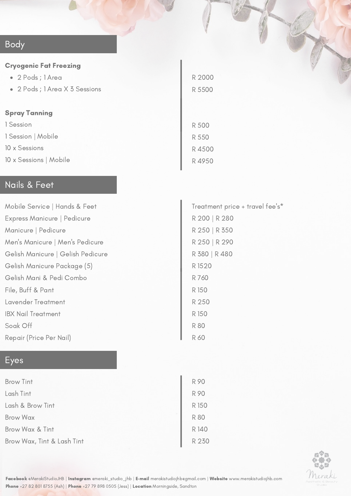## Body

#### Cryogenic Fat Freezing

- 2 Pods ; 1 Area
- 2 Pods ; 1 Area X 3 Sessions

#### Spray Tanning

1 Session 1 Session | Mobile 10 x Sessions

10 x Sessions | Mobile

#### Nails & Feet

| Mobile Service   Hands & Feet     | Treatment price + travel fee's* |
|-----------------------------------|---------------------------------|
| Express Manicure   Pedicure       | R 200   R 280                   |
| Manicure   Pedicure               | R 250   R 350                   |
| Men's Manicure   Men's Pedicure   | R 250   R 290                   |
| Gelish Manicure   Gelish Pedicure | R 380   R 480                   |
| Gelish Manicure Package (5)       | R 1520                          |
| Gelish Mani & Pedi Combo          | R 760                           |
| File, Buff & Pant                 | R 150                           |
| Lavender Treatment                | R 250                           |
| <b>IBX Nail Treatment</b>         | R 150                           |
| Soak Off                          | <b>R80</b>                      |
| Repair (Price Per Nail)           | <b>R 60</b>                     |

R 2000

R 5500

R 500

R 550

R 4500 R 4950

## Eyes

| <b>Brow Tint</b>           | R 90       |
|----------------------------|------------|
| Lash Tint                  | R 90       |
| Lash & Brow Tint           | R 150      |
| Brow Wax                   | <b>R80</b> |
| Brow Wax & Tint            | R 140      |
| Brow Wax, Tint & Lash Tint | R 230      |



Facebook [@MerakiStudioJHB](https://www.facebook.com/MerakiStudioJHB/) | Instagram [@meraki\\_studio\\_jhb](https://www.instagram.com/meraki_studio_jhb/?hl=en) | E-mail [merakistudiojhb@gmail.com](http://gmail.com/) | Website [www.merakistudiojhb.com](https://www.merakistudiojhb.com/) Phone +27 82 801 8755 (Ash) | Phone +27 79 898 0505 (Jess) | Location Morningside, Sandton